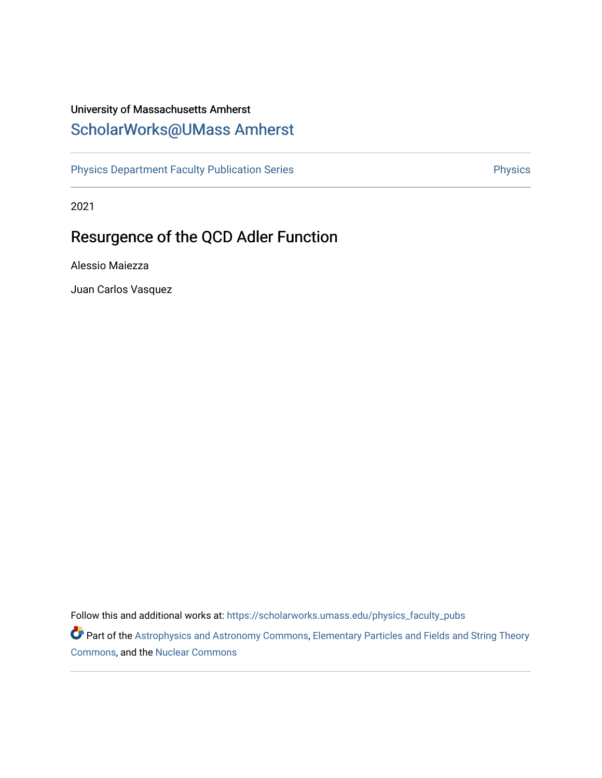# University of Massachusetts Amherst [ScholarWorks@UMass Amherst](https://scholarworks.umass.edu/)

[Physics Department Faculty Publication Series](https://scholarworks.umass.edu/physics_faculty_pubs) **Physics** Physics

2021

# Resurgence of the QCD Adler Function

Alessio Maiezza

Juan Carlos Vasquez

Follow this and additional works at: [https://scholarworks.umass.edu/physics\\_faculty\\_pubs](https://scholarworks.umass.edu/physics_faculty_pubs?utm_source=scholarworks.umass.edu%2Fphysics_faculty_pubs%2F1284&utm_medium=PDF&utm_campaign=PDFCoverPages) 

Part of the [Astrophysics and Astronomy Commons,](https://network.bepress.com/hgg/discipline/123?utm_source=scholarworks.umass.edu%2Fphysics_faculty_pubs%2F1284&utm_medium=PDF&utm_campaign=PDFCoverPages) Elementary Particles and Fields and String Theory [Commons](https://network.bepress.com/hgg/discipline/199?utm_source=scholarworks.umass.edu%2Fphysics_faculty_pubs%2F1284&utm_medium=PDF&utm_campaign=PDFCoverPages), and the [Nuclear Commons](https://network.bepress.com/hgg/discipline/203?utm_source=scholarworks.umass.edu%2Fphysics_faculty_pubs%2F1284&utm_medium=PDF&utm_campaign=PDFCoverPages)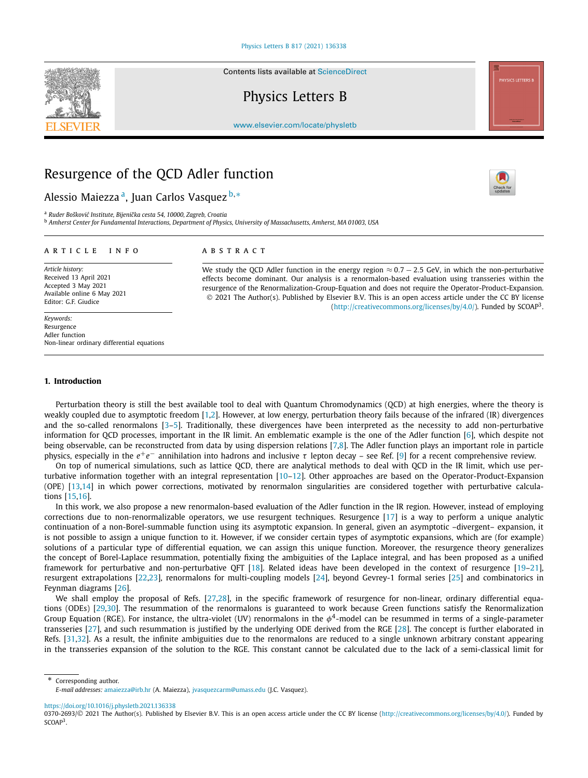Contents lists available at [ScienceDirect](http://www.ScienceDirect.com/)

## Physics Letters B



[www.elsevier.com/locate/physletb](http://www.elsevier.com/locate/physletb)

### Resurgence of the QCD Adler function

Alessio Maiezza a, Juan Carlos Vasquez <sup>b</sup>*,*<sup>∗</sup>

<sup>a</sup> *Ruder Boškovi´c Institute, Bijeniˇcka cesta 54, 10000, Zagreb, Croatia* <sup>b</sup> Amherst Center for Fundamental Interactions, Department of Physics, University of Massachusetts, Amherst, MA 01003, USA

#### A R T I C L E I N F O A B S T R A C T

*Article history:* Received 13 April 2021 Accepted 3 May 2021 Available online 6 May 2021 Editor: G.F. Giudice

*Keywords:* Resurgence Adler function Non-linear ordinary differential equations

We study the QCD Adler function in the energy region ≈ 0*.*7 − 2*.*5 GeV, in which the non-perturbative effects become dominant. Our analysis is a renormalon-based evaluation using transseries within the resurgence of the Renormalization-Group-Equation and does not require the Operator-Product-Expansion. © 2021 The Author(s). Published by Elsevier B.V. This is an open access article under the CC BY license [\(http://creativecommons.org/licenses/by/4.0/\)](http://creativecommons.org/licenses/by/4.0/). Funded by  $SCOAP<sup>3</sup>$ .

### **1. Introduction**

Perturbation theory is still the best available tool to deal with Quantum Chromodynamics (QCD) at high energies, where the theory is weakly coupled due to asymptotic freedom [[1,2\]](#page-5-0). However, at low energy, perturbation theory fails because of the infrared (IR) divergences and the so-called renormalons  $[3-5]$ . Traditionally, these divergences have been interpreted as the necessity to add non-perturbative information for QCD processes, important in the IR limit. An emblematic example is the one of the Adler function [\[6\]](#page-5-0), which despite not being observable, can be reconstructed from data by using dispersion relations [\[7,8](#page-5-0)]. The Adler function plays an important role in particle physics, especially in the  $e^+e^-$  annihilation into hadrons and inclusive *τ* lepton decay – see Ref. [\[9](#page-5-0)] for a recent comprehensive review.

On top of numerical simulations, such as lattice QCD, there are analytical methods to deal with QCD in the IR limit, which use perturbative information together with an integral representation [\[10](#page-5-0)–[12](#page-5-0)]. Other approaches are based on the Operator-Product-Expansion (OPE) [[13,14](#page-5-0)] in which power corrections, motivated by renormalon singularities are considered together with perturbative calculations [[15](#page-5-0),[16](#page-5-0)].

In this work, we also propose a new renormalon-based evaluation of the Adler function in the IR region. However, instead of employing corrections due to non-renormalizable operators, we use resurgent techniques. Resurgence [\[17\]](#page-5-0) is a way to perform a unique analytic continuation of a non-Borel-summable function using its asymptotic expansion. In general, given an asymptotic –divergent– expansion, it is not possible to assign a unique function to it. However, if we consider certain types of asymptotic expansions, which are (for example) solutions of a particular type of differential equation, we can assign this unique function. Moreover, the resurgence theory generalizes the concept of Borel-Laplace resummation, potentially fixing the ambiguities of the Laplace integral, and has been proposed as a unified framework for perturbative and non-perturbative QFT [\[18](#page-5-0)]. Related ideas have been developed in the context of resurgence [[19](#page-5-0)–[21\]](#page-5-0), resurgent extrapolations [[22,23\]](#page-5-0), renormalons for multi-coupling models [[24\]](#page-5-0), beyond Gevrey-1 formal series [[25\]](#page-5-0) and combinatorics in Feynman diagrams [[26](#page-5-0)].

We shall employ the proposal of Refs. [\[27,28\]](#page-5-0), in the specific framework of resurgence for non-linear, ordinary differential equations (ODEs) [[29,30](#page-5-0)]. The resummation of the renormalons is guaranteed to work because Green functions satisfy the Renormalization Group Equation (RGE). For instance, the ultra-violet (UV) renormalons in the  $\phi^4$ -model can be resummed in terms of a single-parameter transseries [\[27](#page-5-0)], and such resummation is justified by the underlying ODE derived from the RGE [[28\]](#page-5-0). The concept is further elaborated in Refs. [[31](#page-5-0),[32](#page-5-0)]. As a result, the infinite ambiguities due to the renormalons are reduced to a single unknown arbitrary constant appearing in the transseries expansion of the solution to the RGE. This constant cannot be calculated due to the lack of a semi-classical limit for

\* Corresponding author. *E-mail addresses:* [amaiezza@irb.hr](mailto:amaiezza@irb.hr) (A. Maiezza), [jvasquezcarm@umass.edu](mailto:jvasquezcarm@umass.edu) (J.C. Vasquez).

<https://doi.org/10.1016/j.physletb.2021.136338>

<sup>0370-2693/© 2021</sup> The Author(s). Published by Elsevier B.V. This is an open access article under the CC BY license [\(http://creativecommons.org/licenses/by/4.0/](http://creativecommons.org/licenses/by/4.0/)). Funded by SCOAP<sup>3</sup>.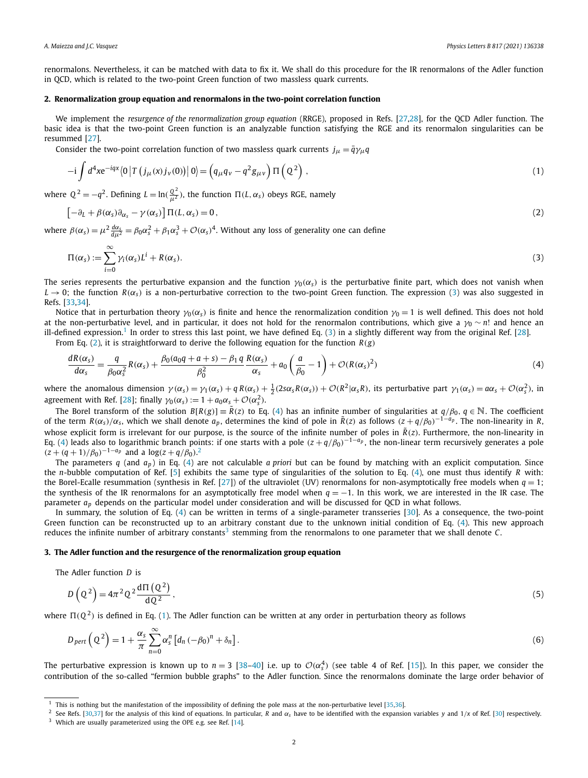<span id="page-2-0"></span>renormalons. Nevertheless, it can be matched with data to fix it. We shall do this procedure for the IR renormalons of the Adler function in QCD, which is related to the two-point Green function of two massless quark currents.

#### **2. Renormalization group equation and renormalons in the two-point correlation function**

We implement the *resurgence of the renormalization group equation* (RRGE), proposed in Refs. [[27](#page-5-0),[28](#page-5-0)], for the QCD Adler function. The basic idea is that the two-point Green function is an analyzable function satisfying the RGE and its renormalon singularities can be resummed [[27](#page-5-0)].

Consider the two-point correlation function of two massless quark currents  $j_{\mu} = \bar{q}\gamma_{\mu}q$ 

$$
-i\int d^4x e^{-iqx} \langle 0|T(j\mu(x)j_{\nu}(0))|0\rangle = \left(q_{\mu}q_{\nu} - q^2g_{\mu\nu}\right)\Pi\left(Q^2\right),\tag{1}
$$

where  $Q^2 = -q^2$ . Defining  $L = \ln(\frac{Q^2}{\mu^2})$ , the function  $\Pi(L, \alpha_s)$  obeys RGE, namely

$$
\left[-\partial_L + \beta(\alpha_s)\partial_{\alpha_s} - \gamma(\alpha_s)\right]\Pi(L,\alpha_s) = 0,\tag{2}
$$

where  $\beta(\alpha_s) = \mu^2 \frac{d\alpha_s}{d\mu^2} = \beta_0 \alpha_s^2 + \beta_1 \alpha_s^3 + \mathcal{O}(\alpha_s)^4$ . Without any loss of generality one can define

$$
\Pi(\alpha_s) := \sum_{i=0}^{\infty} \gamma_i(\alpha_s) L^i + R(\alpha_s). \tag{3}
$$

The series represents the perturbative expansion and the function  $\gamma_0(\alpha_s)$  is the perturbative finite part, which does not vanish when  $L \to 0$ ; the function  $R(\alpha_s)$  is a non-perturbative correction to the two-point Green function. The expression (3) was also suggested in Refs. [\[33,34\]](#page-6-0).

Notice that in perturbation theory *γ*<sub>0</sub>( $\alpha$ <sub>s</sub>) is finite and hence the renormalization condition *γ*<sub>0</sub> = 1 is well defined. This does not hold at the non-perturbative level, and in particular, it does not hold for the renormalon contributions, which give a *γ*<sub>0</sub> ∼ *n*! and hence an ill-defined expression.<sup>1</sup> In order to stress this last point, we have defined Eq. (3) in a slightly different way from the original Ref. [\[28\]](#page-5-0).

From Eq. (2), it is straightforward to derive the following equation for the function  $R(g)$ 

$$
\frac{dR(\alpha_s)}{d\alpha_s} = \frac{q}{\beta_0 \alpha_s^2} R(\alpha_s) + \frac{\beta_0 (a_0 q + a + s) - \beta_1 q}{\beta_0^2} \frac{R(\alpha_s)}{\alpha_s} + a_0 \left(\frac{a}{\beta_0} - 1\right) + \mathcal{O}(R(\alpha_s)^2)
$$
\n(4)

where the anomalous dimension  $\gamma(\alpha_s) = \gamma_1(\alpha_s) + q R(\alpha_s) + \frac{1}{2}(2s\alpha_s R(\alpha_s)) + \mathcal{O}(R^2|\alpha_s R)$ , its perturbative part  $\gamma_1(\alpha_s) = a\alpha_s + \mathcal{O}(\alpha_s^2)$ , in agreement with Ref. [\[28\]](#page-5-0); finally  $\gamma_0(\alpha_s) := 1 + a_0\alpha_s + \mathcal{O}(\alpha_s^2)$ .

The Borel transform of the solution  $B[R(g)] \equiv \tilde{R}(z)$  to Eq. (4) has an infinite number of singularities at  $q/\beta_0$ ,  $q \in \mathbb{N}$ . The coefficient of the term  $R(\alpha_s)/\alpha_s$ , which we shall denote  $a_p$ , determines the kind of pole in  $\tilde{R}(z)$  as follows  $(z+q/\beta_0)^{-1-a_p}$ . The non-linearity in R, whose explicit form is irrelevant for our purpose, is the source of the infinite number of poles in  $\tilde{R}(z)$ . Furthermore, the non-linearity in Eq. (4) leads also to logarithmic branch points: if one starts with a pole  $(z + q/\beta_0)^{-1-a_p}$ , the non-linear term recursively generates a pole  $(z + (q + 1)/\beta_0)^{-1 - a_p}$  and a  $\log(z + q/\beta_0)^2$ .

The parameters  $q$  (and  $a_p$ ) in Eq. (4) are not calculable *a priori* but can be found by matching with an explicit computation. Since the *n*-bubble computation of Ref. [[5](#page-5-0)] exhibits the same type of singularities of the solution to Eq. (4), one must thus identify *R* with: the Borel-Ecalle resummation (synthesis in Ref. [\[27](#page-5-0)]) of the ultraviolet (UV) renormalons for non-asymptotically free models when  $q = 1$ ; the synthesis of the IR renormalons for an asymptotically free model when *q* = −1. In this work, we are interested in the IR case. The parameter *ap* depends on the particular model under consideration and will be discussed for QCD in what follows.

In summary, the solution of Eq. (4) can be written in terms of a single-parameter transseries [\[30](#page-5-0)]. As a consequence, the two-point Green function can be reconstructed up to an arbitrary constant due to the unknown initial condition of Eq. (4). This new approach reduces the infinite number of arbitrary constants<sup>3</sup> stemming from the renormalons to one parameter that we shall denote  $C$ .

#### **3. The Adler function and the resurgence of the renormalization group equation**

The Adler function *D* is

$$
D\left(Q^2\right) = 4\pi^2 Q^2 \frac{d\Pi\left(Q^2\right)}{dQ^2},\tag{5}
$$

where  $\Pi(Q^2)$  is defined in Eq. (1). The Adler function can be written at any order in perturbation theory as follows

$$
D_{pert}\left(Q^2\right) = 1 + \frac{\alpha_s}{\pi} \sum_{n=0}^{\infty} \alpha_s^n \left[d_n \left(-\beta_0\right)^n + \delta_n\right].\tag{6}
$$

The perturbative expression is known up to  $n = 3$  [\[38–40](#page-6-0)] i.e. up to  $\mathcal{O}(\alpha_s^4)$  (see table 4 of Ref. [[15](#page-5-0)]). In this paper, we consider the contribution of the so-called "fermion bubble graphs" to the Adler function. Since the renormalons dominate the large order behavior of

 $1$  This is nothing but the manifestation of the impossibility of defining the pole mass at the non-perturbative level [[35](#page-6-0),[36](#page-6-0)].

<sup>&</sup>lt;sup>2</sup> See Refs. [\[30,](#page-5-0)[37](#page-6-0)] for the analysis of this kind of equations. In particular, *R* and  $\alpha_s$  have to be identified with the expansion variables *y* and 1/*x* of Ref. [\[30](#page-5-0)] respectively. <sup>3</sup> Which are usually parameterized using the OPE e.g. see Ref. [[14](#page-5-0)].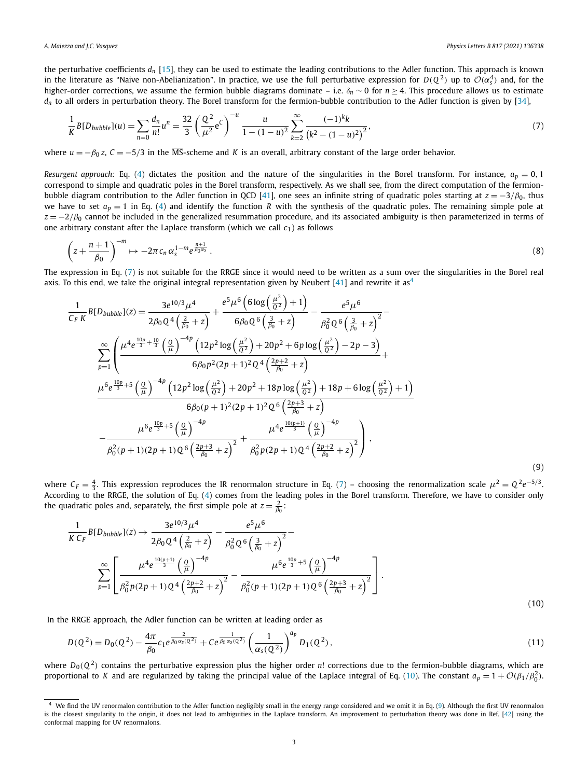<span id="page-3-0"></span>the perturbative coefficients *dn* [[15](#page-5-0)], they can be used to estimate the leading contributions to the Adler function. This approach is known in the literature as "Naive non-Abelianization". In practice, we use the full perturbative expression for  $D(Q^2)$  up to  $\mathcal{O}(\alpha_s^4)$  and, for the higher-order corrections, we assume the fermion bubble diagrams dominate – i.e. *δ<sup>n</sup>* ∼ 0 for *n* ≥ 4. This procedure allows us to estimate  $d_n$  to all orders in perturbation theory. The Borel transform for the fermion-bubble contribution to the Adler function is given by [\[34\]](#page-6-0),

$$
\frac{1}{K}B[D_{bubble}](u) = \sum_{n=0}^{\infty} \frac{d_n}{n!} u^n = \frac{32}{3} \left( \frac{Q^2}{\mu^2} e^C \right)^{-u} \frac{u}{1 - (1 - u)^2} \sum_{k=2}^{\infty} \frac{(-1)^k k}{\left(k^2 - (1 - u)^2\right)^2},\tag{7}
$$

where  $u = -\beta_0 z$ ,  $C = -5/3$  in the MS-scheme and *K* is an overall, arbitrary constant of the large order behavior.

*Resurgent approach:* Eq. [\(4](#page-2-0)) dictates the position and the nature of the singularities in the Borel transform. For instance,  $a_p = 0, 1$ correspond to simple and quadratic poles in the Borel transform, respectively. As we shall see, from the direct computation of the fermion-bubble diagram contribution to the Adler function in QCD [\[41\]](#page-6-0), one sees an infinite string of quadratic poles starting at  $z = -3/\beta_0$ , thus we have to set  $a_p = 1$  in Eq. ([4](#page-2-0)) and identify the function *R* with the synthesis of the quadratic poles. The remaining simple pole at  $z = -2/\beta_0$  cannot be included in the generalized resummation procedure, and its associated ambiguity is then parameterized in terms of one arbitrary constant after the Laplace transform (which we call *c*1) as follows

$$
\left(z+\frac{n+1}{\beta_0}\right)^{-m}\mapsto -2\pi c_n\,\alpha_s^{1-m}e^{\frac{n+1}{\beta_0\alpha_s}}\,. \tag{8}
$$

The expression in Eq. (7) is not suitable for the RRGE since it would need to be written as a sum over the singularities in the Borel real axis. To this end, we take the original integral representation given by Neubert  $[41]$  $[41]$  $[41]$  and rewrite it as<sup>4</sup>

$$
\frac{1}{C_F K} B[D_{bubble}](z) = \frac{3e^{10/3} \mu^4}{2\beta_0 Q^4 \left(\frac{2}{\beta_0} + z\right)} + \frac{e^5 \mu^6 \left(6 \log \left(\frac{\mu^2}{Q^2}\right) + 1\right)}{6\beta_0 Q^6 \left(\frac{3}{\beta_0} + z\right)} - \frac{e^5 \mu^6}{\beta_0^2 Q^6 \left(\frac{3}{\beta_0} + z\right)^2} - \frac{2e^5 \mu^6}{\beta_0^2 Q^6 \left(\frac{3}{\beta_0} + z\right)^2}
$$
\n
$$
\sum_{p=1}^{\infty} \left( \frac{\mu^4 e^{\frac{10p}{3} + \frac{10}{3}} \left(\frac{Q}{\mu}\right)^{-4p} \left(12p^2 \log \left(\frac{\mu^2}{Q^2}\right) + 20p^2 + 6p \log \left(\frac{\mu^2}{Q^2}\right) - 2p - 3\right)}{6\beta_0 p^2 (2p + 1)^2 Q^4 \left(\frac{2p + 2}{\beta_0} + z\right)} + \frac{\mu^6 e^{\frac{10p}{3} + 5} \left(\frac{Q}{\mu}\right)^{-4p} \left(12p^2 \log \left(\frac{\mu^2}{Q^2}\right) + 20p^2 + 18p \log \left(\frac{\mu^2}{Q^2}\right) + 18p + 6 \log \left(\frac{\mu^2}{Q^2}\right) + 1\right)}{6\beta_0 (p + 1)^2 (2p + 1)^2 Q^6 \left(\frac{2p + 3}{\beta_0} + z\right)} - \frac{\mu^6 e^{\frac{10p}{3} + 5} \left(\frac{Q}{\mu}\right)^{-4p}}{\beta_0^2 (p + 1)(2p + 1) Q^6 \left(\frac{2p + 3}{\beta_0} + z\right)^2} + \frac{\mu^4 e^{\frac{10(p + 1)}{3}} \left(\frac{Q}{\mu}\right)^{-4p}}{\beta_0^2 p (2p + 1) Q^4 \left(\frac{2p + 2}{\beta_0} + z\right)^2},
$$
\n(9)

where  $C_F = \frac{4}{3}$ . This expression reproduces the IR renormalon structure in Eq. (7) – choosing the renormalization scale  $\mu^2 = Q^2 e^{-5/3}$ . According to the RRGE, the solution of Eq. ([4](#page-2-0)) comes from the leading poles in the Borel transform. Therefore, we have to consider only the quadratic poles and, separately, the first simple pole at  $z = \frac{2}{\beta_0}$ :

$$
\frac{1}{K C_F} B[D_{bubble}](z) \rightarrow \frac{3e^{10/3} \mu^4}{2\beta_0 Q^4 \left(\frac{2}{\beta_0} + z\right)} - \frac{e^5 \mu^6}{\beta_0^2 Q^6 \left(\frac{3}{\beta_0} + z\right)^2} - \frac{e^{5/2}}{\beta_0^2 Q^6 \left(\frac{3}{\beta_0} + z\right)^2}
$$
\n
$$
\sum_{p=1}^{\infty} \left[ \frac{\mu^4 e^{\frac{10(p+1)}{3}} \left(\frac{Q}{\mu}\right)^{-4p}}{\beta_0^2 p (2p+1) Q^4 \left(\frac{2p+2}{\beta_0} + z\right)^2} - \frac{\mu^6 e^{\frac{10p}{3} + 5} \left(\frac{Q}{\mu}\right)^{-4p}}{\beta_0^2 (p+1) (2p+1) Q^6 \left(\frac{2p+3}{\beta_0} + z\right)^2} \right].
$$
\n(10)

In the RRGE approach, the Adler function can be written at leading order as

$$
D(Q^2) = D_0(Q^2) - \frac{4\pi}{\beta_0} c_1 e^{\frac{2}{\beta_0 \alpha_s(Q^2)}} + C e^{\frac{1}{\beta_0 \alpha_s(Q^2)}} \left(\frac{1}{\alpha_s(Q^2)}\right)^{a_p} D_1(Q^2), \tag{11}
$$

where  $D_0(Q^2)$  contains the perturbative expression plus the higher order *n*! corrections due to the fermion-bubble diagrams, which are proportional to *K* and are regularized by taking the principal value of the Laplace integral of Eq. (10). The constant  $a_p = 1 + \mathcal{O}(\beta_1/\beta_0^2)$ .

<sup>&</sup>lt;sup>4</sup> We find the UV renormalon contribution to the Adler function negligibly small in the energy range considered and we omit it in Eq. (9). Although the first UV renormalon is the closest singularity to the origin, it does not lead to ambiguities in the Laplace transform. An improvement to perturbation theory was done in Ref. [[42](#page-6-0)] using the conformal mapping for UV renormalons.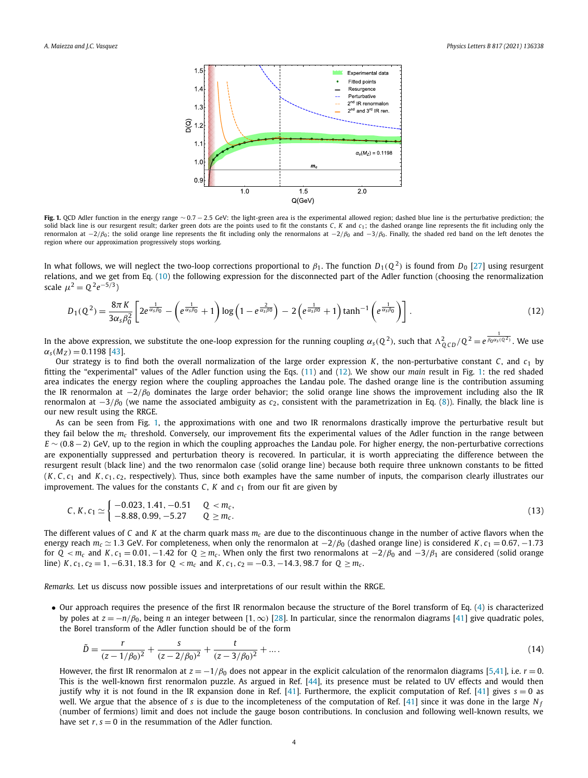

**Fig. 1.** QCD Adler function in the energy range ∼ 0*.*7 − 2*.*5 GeV: the light-green area is the experimental allowed region; dashed blue line is the perturbative prediction; the solid black line is our resurgent result; darker green dots are the points used to fit the constants *C*, *K* and *c*1; the dashed orange line represents the fit including only the renormalon at −2*/β*0; the solid orange line represents the fit including only the renormalons at −2*/β*<sup>0</sup> and −3*/β*0. Finally, the shaded red band on the left denotes the region where our approximation progressively stops working.

In what follows, we will neglect the two-loop corrections proportional to *β*1. The function *D*1*(Q* <sup>2</sup>*)* is found from *D*<sup>0</sup> [[27\]](#page-5-0) using resurgent relations, and we get from Eq. [\(10\)](#page-3-0) the following expression for the disconnected part of the Adler function (choosing the renormalization scale  $\mu^2 = 0^2 e^{-5/3}$ 

$$
D_1(Q^2) = \frac{8\pi K}{3\alpha_s \beta_0^2} \left[ 2e^{\frac{1}{\alpha_s \beta_0}} - \left( e^{\frac{1}{\alpha_s \beta_0}} + 1 \right) \log \left( 1 - e^{\frac{2}{\alpha_s \beta_0}} \right) - 2 \left( e^{\frac{1}{\alpha_s \beta_0}} + 1 \right) \tanh^{-1} \left( e^{\frac{1}{\alpha_s \beta_0}} \right) \right].
$$
 (12)

In the above expression, we substitute the one-loop expression for the running coupling  $\alpha_s(Q^2)$ , such that  $\Lambda_{QCD}^2/Q^2=e^{\frac{1}{\beta_0\alpha_s(Q^2)}}$ . We use  $\alpha_s(M_Z) = 0.1198$  [[43](#page-6-0)].

Our strategy is to find both the overall normalization of the large order expression *K*, the non-perturbative constant *C*, and *c*<sup>1</sup> by fitting the "experimental" values of the Adler function using the Eqs. [\(11\)](#page-3-0) and (12). We show our *main* result in Fig. 1: the red shaded area indicates the energy region where the coupling approaches the Landau pole. The dashed orange line is the contribution assuming the IR renormalon at  $-2/\beta_0$  dominates the large order behavior; the solid orange line shows the improvement including also the IR renormalon at −3*/β*<sup>0</sup> (we name the associated ambiguity as *c*2, consistent with the parametrization in Eq. ([8\)](#page-3-0)). Finally, the black line is our new result using the RRGE.

As can be seen from Fig. 1, the approximations with one and two IR renormalons drastically improve the perturbative result but they fail below the *mc* threshold. Conversely, our improvement fits the experimental values of the Adler function in the range between *E* ~ (0.8 − 2) GeV, up to the region in which the coupling approaches the Landau pole. For higher energy, the non-perturbative corrections are exponentially suppressed and perturbation theory is recovered. In particular, it is worth appreciating the difference between the resurgent result (black line) and the two renormalon case (solid orange line) because both require three unknown constants to be fitted  $(K, C, c<sub>1</sub>$  and  $K, c<sub>1</sub>, c<sub>2</sub>$ , respectively). Thus, since both examples have the same number of inputs, the comparison clearly illustrates our improvement. The values for the constants *C*, *K* and  $c_1$  from our fit are given by

$$
C, K, c_1 \simeq \begin{cases} -0.023, 1.41, -0.51 & Q < m_c, \\ -8.88, 0.99, -5.27 & Q \ge m_c. \end{cases} \tag{13}
$$

The different values of *C* and *K* at the charm quark mass  $m<sub>c</sub>$  are due to the discontinuous change in the number of active flavors when the energy reach *mc* 1*.*3 GeV. For completeness, when only the renormalon at −2*/β*<sup>0</sup> (dashed orange line) is considered *K, c*<sup>1</sup> = 0*.*67*,*−1*.*73 for  $Q < m_c$  and  $K$ ,  $c_1 = 0.01$ , −1.42 for  $Q \ge m_c$ . When only the first two renormalons at  $-2/\beta_0$  and  $-3/\beta_1$  are considered (solid orange line) K,  $c_1$ ,  $c_2$  = 1, -6.31, 18.3 for  $Q < m_c$  and K,  $c_1$ ,  $c_2$  = -0.3, -14.3, 98.7 for  $Q \ge m_c$ .

*Remarks.* Let us discuss now possible issues and interpretations of our result within the RRGE.

• Our approach requires the presence of the first IR renormalon because the structure of the Borel transform of Eq. ([4](#page-2-0)) is characterized by poles at *z* = −*n/β*0, being *n* an integer between [1*,*∞*)* [\[28](#page-5-0)]. In particular, since the renormalon diagrams [\[41](#page-6-0)] give quadratic poles, the Borel transform of the Adler function should be of the form

$$
\tilde{D} = \frac{r}{(z - 1/\beta_0)^2} + \frac{s}{(z - 2/\beta_0)^2} + \frac{t}{(z - 3/\beta_0)^2} + \dots
$$
\n(14)

However, the first IR renormalon at  $z = -1/\beta_0$  does not appear in the explicit calculation of the renormalon diagrams [[5](#page-5-0)[,41](#page-6-0)], i.e. *r* = 0. This is the well-known first renormalon puzzle. As argued in Ref. [[44\]](#page-6-0), its presence must be related to UV effects and would then justify why it is not found in the IR expansion done in Ref. [\[41](#page-6-0)]. Furthermore, the explicit computation of Ref. [[41\]](#page-6-0) gives  $s = 0$  as well. We argue that the absence of *s* is due to the incompleteness of the computation of Ref. [\[41\]](#page-6-0) since it was done in the large *N <sup>f</sup>* (number of fermions) limit and does not include the gauge boson contributions. In conclusion and following well-known results, we have set  $r, s = 0$  in the resummation of the Adler function.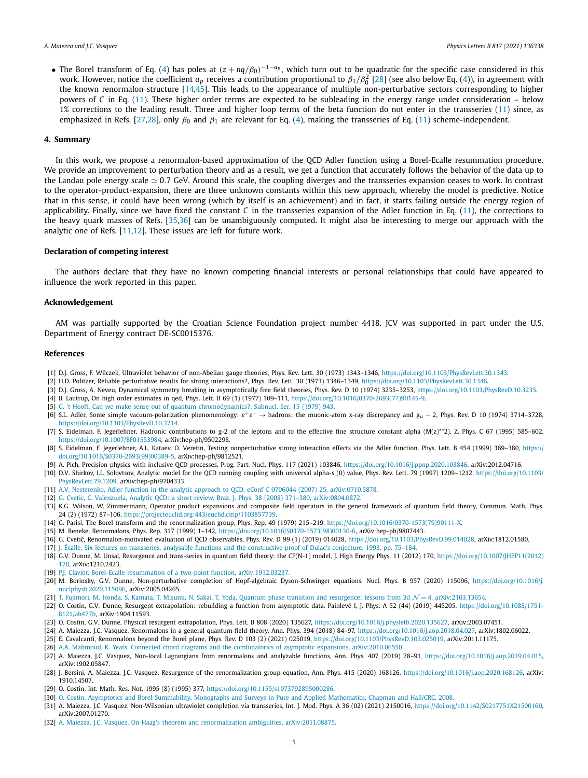<span id="page-5-0"></span>• The Borel transform of Eq. [\(4\)](#page-2-0) has poles at  $(z + nq/\beta_0)^{-1-q_p}$ , which turn out to be quadratic for the specific case considered in this work. However, notice the coefficient  $a_p$  receives a contribution proportional to  $\beta_1/\beta_0^2$  [28] (see also below Eq. [\(4](#page-2-0))), in agreement with the known renormalon structure [14[,45\]](#page-6-0). This leads to the appearance of multiple non-perturbative sectors corresponding to higher powers of *C* in Eq. [\(11\)](#page-3-0). These higher order terms are expected to be subleading in the energy range under consideration – below 1% corrections to the leading result. Three and higher loop terms of the beta function do not enter in the transseries [\(11\)](#page-3-0) since, as emphasized in Refs. [27,28], only *β*<sup>0</sup> and *β*<sup>1</sup> are relevant for Eq. ([4](#page-2-0)), making the transseries of Eq. [\(11\)](#page-3-0) scheme-independent.

#### **4. Summary**

In this work, we propose a renormalon-based approximation of the QCD Adler function using a Borel-Ecalle resummation procedure. We provide an improvement to perturbation theory and as a result, we get a function that accurately follows the behavior of the data up to the Landau pole energy scale  $\simeq$  0.7 GeV. Around this scale, the coupling diverges and the transseries expansion ceases to work. In contrast to the operator-product-expansion, there are three unknown constants within this new approach, whereby the model is predictive. Notice that in this sense, it could have been wrong (which by itself is an achievement) and in fact, it starts failing outside the energy region of applicability. Finally, since we have fixed the constant *C* in the transseries expansion of the Adler function in Eq. [\(11\)](#page-3-0), the corrections to the heavy quark masses of Refs. [\[35,36](#page-6-0)] can be unambiguously computed. It might also be interesting to merge our approach with the analytic one of Refs. [11,12]. These issues are left for future work.

#### **Declaration of competing interest**

The authors declare that they have no known competing financial interests or personal relationships that could have appeared to influence the work reported in this paper.

#### **Acknowledgement**

AM was partially supported by the Croatian Science Foundation project number 4418. JCV was supported in part under the U.S. Department of Energy contract DE-SC0015376.

#### **References**

- [1] D.J. Gross, F. Wilczek, Ultraviolet behavior of non-Abelian gauge theories, Phys. Rev. Lett. 30 (1973) 1343–1346, [https://doi.org/10.1103/PhysRevLett.30.1343.](https://doi.org/10.1103/PhysRevLett.30.1343)
- [2] H.D. Politzer, Reliable perturbative results for strong interactions?, Phys. Rev. Lett. 30 (1973) 1346–1349, [https://doi.org/10.1103/PhysRevLett.30.1346.](https://doi.org/10.1103/PhysRevLett.30.1346)
- [3] D.J. Gross, A. Neveu, Dynamical symmetry breaking in asymptotically free field theories, Phys. Rev. D 10 (1974) 3235–3253, [https://doi.org/10.1103/PhysRevD.10.3235.](https://doi.org/10.1103/PhysRevD.10.3235)
- [4] B. Lautrup, On high order estimates in qed, Phys. Lett. B 69 (1) (1977) 109–111, [https://doi.org/10.1016/0370-2693\(77\)90145-9.](https://doi.org/10.1016/0370-2693(77)90145-9)
- [5] G. 't Hooft, Can we make sense out of quantum [chromodynamics?,](http://refhub.elsevier.com/S0370-2693(21)00278-1/bib4ACF3D9C3766D9F94697A6587510A24Bs1) Subnucl. Ser. 15 (1979) 943.
- [6] S.L. Adler, Some simple vacuum-polarization phenomenology: *e*+*e*<sup>−</sup> → hadrons; the muonic-atom x-ray discrepancy and g*<sup>μ</sup>* − 2, Phys. Rev. D 10 (1974) 3714–3728, <https://doi.org/10.1103/PhysRevD.10.3714>.
- [7] S. Eidelman, F. Jegerlehner, Hadronic contributions to g-2 of the leptons and to the effective fine structure constant alpha (M(z)\*\*2), Z. Phys. C 67 (1995) 585-602, <https://doi.org/10.1007/BF01553984>, arXiv:hep-ph/9502298.
- [8] S. Eidelman, F. Jegerlehner, A.L. Kataev, O. Veretin, Testing nonperturbative strong interaction effects via the Adler function, Phys. Lett. B 454 (1999) 369–380, [https://](https://doi.org/10.1016/S0370-2693(99)00389-5) [doi.org/10.1016/S0370-2693\(99\)00389-5,](https://doi.org/10.1016/S0370-2693(99)00389-5) arXiv:hep-ph/9812521.
- [9] A. Pich, Precision physics with inclusive QCD processes, Prog. Part. Nucl. Phys. 117 (2021) 103846, <https://doi.org/10.1016/j.ppnp.2020.103846>, arXiv:2012.04716.
- [10] D.V. Shirkov, I.L. Solovtsov, Analytic model for the QCD running coupling with universal alpha-s (0) value, Phys. Rev. Lett. 79 (1997) 1209-1212, [https://doi.org/10.1103/](https://doi.org/10.1103/PhysRevLett.79.1209) [PhysRevLett.79.1209,](https://doi.org/10.1103/PhysRevLett.79.1209) arXiv:hep-ph/9704333.
- [11] A.V. Nesterenko, Adler function in the analytic approach to QCD, eConf C 0706044 (2007) 25, [arXiv:0710.5878.](http://refhub.elsevier.com/S0370-2693(21)00278-1/bib8561A27551E6A2E77EA5B647E0A7F783s1)
- [12] G. Cvetic, C. Valenzuela, Analytic QCD: a short review, Braz. J. Phys. 38 (2008) 371–380, [arXiv:0804.0872.](http://refhub.elsevier.com/S0370-2693(21)00278-1/bib045CDB5480B4B2BF3BE1CB9C2ADC68B1s1)
- [13] K.G. Wilson, W. Zimmermann, Operator product expansions and composite field operators in the general framework of quantum field theory, Commun. Math. Phys. 24 (2) (1972) 87–106, [https://projecteuclid.org:443/euclid.cmp/1103857739.](https://projecteuclid.org:443/euclid.cmp/1103857739)
- [14] G. Parisi, The Borel transform and the renormalization group, Phys. Rep. 49 (1979) 215–219, [https://doi.org/10.1016/0370-1573\(79\)90111-X.](https://doi.org/10.1016/0370-1573(79)90111-X)
- [15] M. Beneke, Renormalons, Phys. Rep. 317 (1999) 1–142, [https://doi.org/10.1016/S0370-1573\(98\)00130-6,](https://doi.org/10.1016/S0370-1573(98)00130-6) arXiv:hep-ph/9807443.
- [16] G. Cvetič, Renormalon-motivated evaluation of QCD observables, Phys. Rev. D 99 (1) (2019) 014028, <https://doi.org/10.1103/PhysRevD.99.014028>, arXiv:1812.01580.
- [17] J. Écalle, Six lectures on transseries, analysable functions and the [constructive](http://refhub.elsevier.com/S0370-2693(21)00278-1/bibE432C9DF75C3D9175ABDED0C739B893Ds1) proof of Dulac's conjecture, 1993, pp. 75–184.
- [18] G.V. Dunne, M. Unsal, Resurgence and trans-series in quantum field theory: the CP(N-1) model, J. High Energy Phys. 11 (2012) 170, [https://doi.org/10.1007/JHEP11\(2012\)](https://doi.org/10.1007/JHEP11(2012)170) [170,](https://doi.org/10.1007/JHEP11(2012)170) arXiv:1210.2423.
- [19] P.J. Clavier, Borel-Ecalle resummation of a two-point function, [arXiv:1912.03237.](http://refhub.elsevier.com/S0370-2693(21)00278-1/bib8352A1CD0FA7A43F68BE6E27E3F7D029s1)
- [20] M. Borinsky, G.V. Dunne, Non-perturbative completion of Hopf-algebraic Dyson-Schwinger equations, Nucl. Phys. B 957 (2020) 115096, [https://doi.org/10.1016/j.](https://doi.org/10.1016/j.nuclphysb.2020.115096) [nuclphysb.2020.115096](https://doi.org/10.1016/j.nuclphysb.2020.115096), arXiv:2005.04265.
- [21] T. Fujimori, M. Honda, S. Kamata, T. Misumi, N. Sakai, T. Yoda, Quantum phase transition and resurgence: lessons from 3d  $\mathcal{N}=4$ , [arXiv:2103.13654.](http://refhub.elsevier.com/S0370-2693(21)00278-1/bib0779A2B86AC1C341BFBB14E36B06BD69s1)
- [22] O. Costin, G.V. Dunne, Resurgent extrapolation: rebuilding a function from asymptotic data. Painlevé I, J. Phys. A 52 (44) (2019) 445205, [https://doi.org/10.1088/1751-](https://doi.org/10.1088/1751-8121/ab477b) [8121/ab477b](https://doi.org/10.1088/1751-8121/ab477b), arXiv:1904.11593.
- [23] O. Costin, G.V. Dunne, Physical resurgent extrapolation, Phys. Lett. B 808 (2020) 135627, [https://doi.org/10.1016/j.physletb.2020.135627,](https://doi.org/10.1016/j.physletb.2020.135627) arXiv:2003.07451.
- [24] A. Maiezza, J.C. Vasquez, Renormalons in a general quantum field theory, Ann. Phys. 394 (2018) 84–97, <https://doi.org/10.1016/j.aop.2018.04.027>, arXiv:1802.06022.
- [25] E. Cavalcanti, Renormalons beyond the Borel plane, Phys. Rev. D 103 (2) (2021) 025019, <https://doi.org/10.1103/PhysRevD.103.025019>, arXiv:2011.11175.
- [26] A.A. Mahmoud, K. Yeats, Connected chord diagrams and the combinatorics of asymptotic expansions, [arXiv:2010.06550.](http://refhub.elsevier.com/S0370-2693(21)00278-1/bibD8E4453F185E7B9D98ABCB362F52E056s1)
- [27] A. Maiezza, J.C. Vasquez, Non-local Lagrangians from renormalons and analyzable functions, Ann. Phys. 407 (2019) 78–91, <https://doi.org/10.1016/j.aop.2019.04.015>, arXiv:1902.05847.
- [28] J. Bersini, A. Maiezza, J.C. Vasquez, Resurgence of the renormalization group equation, Ann. Phys. 415 (2020) 168126, [https://doi.org/10.1016/j.aop.2020.168126,](https://doi.org/10.1016/j.aop.2020.168126) arXiv: 1910.14507.
- [29] O. Costin, Int. Math. Res. Not. 1995 (8) (1995) 377, [https://doi.org/10.1155/s1073792895000286.](https://doi.org/10.1155/s1073792895000286)
- [30] O. Costin, Asymptotics and Borel Summability, Monographs and Surveys in Pure and Applied [Mathematics,](http://refhub.elsevier.com/S0370-2693(21)00278-1/bib097CC03B33ECEB6E185EDFAEED6F2C8Bs1) Chapman and Hall/CRC, 2008.
- [31] A. Maiezza, J.C. Vasquez, Non-Wilsonian ultraviolet completion via transseries, Int. J. Mod. Phys. A 36 (02) (2021) 2150016, <https://doi.org/10.1142/S0217751X21500160>, arXiv:2007.01270.
- [32] A. Maiezza, J.C. Vasquez, On Haag's theorem and renormalization ambiguities, [arXiv:2011.08875.](http://refhub.elsevier.com/S0370-2693(21)00278-1/bibA06BAD46D3B3EA5BFB7B108C04E39886s1)